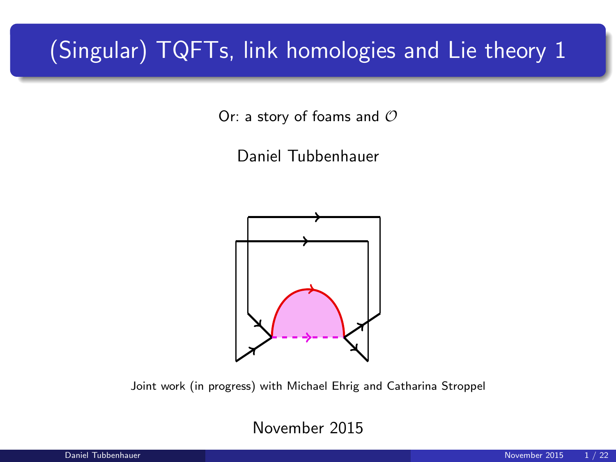# (Singular) TQFTs, link homologies and Lie theory 1

Or: a story of foams and  $O$ 

Daniel Tubbenhauer



Joint work (in progress) with Michael Ehrig and Catharina Stroppel

November 2015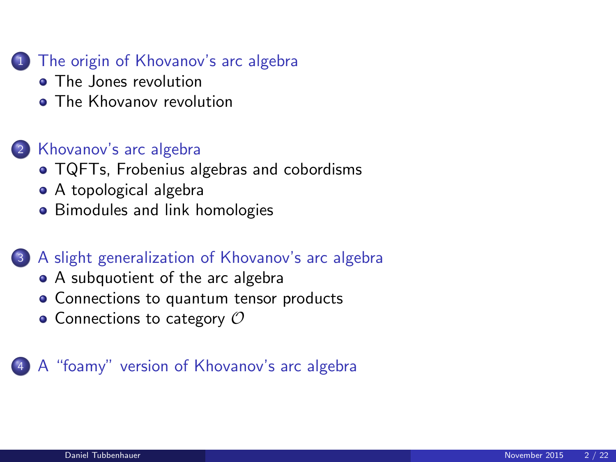#### <sup>1</sup> [The origin of Khovanov's arc algebra](#page-2-0)

- [The Jones revolution](#page-2-0)
- **[The Khovanov revolution](#page-4-0)**

#### <sup>2</sup> [Khovanov's arc algebra](#page-6-0)

- [TQFTs, Frobenius algebras and cobordisms](#page-6-0)
- [A topological algebra](#page-8-0)
- **•** [Bimodules and link homologies](#page-12-0)

#### <sup>3</sup> [A slight generalization of Khovanov's arc algebra](#page-14-0)

- [A subquotient of the arc algebra](#page-14-0)
- [Connections to quantum tensor products](#page-15-0)
- $\bullet$  [Connections to category](#page-16-0)  $\mathcal O$

#### <sup>4</sup> [A "foamy" version of Khovanov's arc algebra](#page-19-0)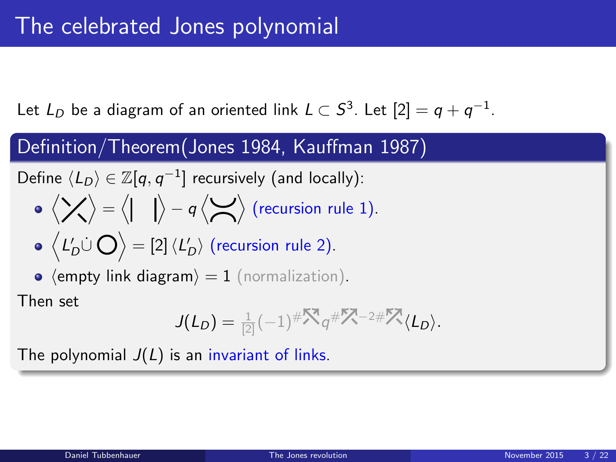Let  $L_D$  be a diagram of an oriented link  $L\subset S^3.$  Let  $[2]=q+q^{-1}.$ 

#### Definition/Theorem(Jones 1984, Kauffman 1987)

Define 
$$
\langle L_D \rangle \in \mathbb{Z}[q, q^{-1}]
$$
 recursively (and locally):

$$
\bullet \langle \bigtimes \rangle = \langle | \quad | \rangle - q \langle \bigtimes \rangle \text{ (recursion rule 1)}.
$$

$$
\bullet\ \Big\langle L'_D\dot\cup\bigcirc\Big\rangle=[2]\, \langle L'_D\rangle\ \text{(recursion rule 2)}.
$$

• 
$$
\langle \text{empty link diagram} \rangle = 1
$$
 (normalization).

Then set

<span id="page-2-0"></span>
$$
J(L_D) = \frac{1}{2}(-1)^{\# \sum_{n=1}^{\infty} q^{\# \sum_{n=1}^{\infty} 2^{\# \sum_{n=1}^{\infty} \langle L_D \rangle}}.
$$

The polynomial  $J(L)$  is an invariant of links.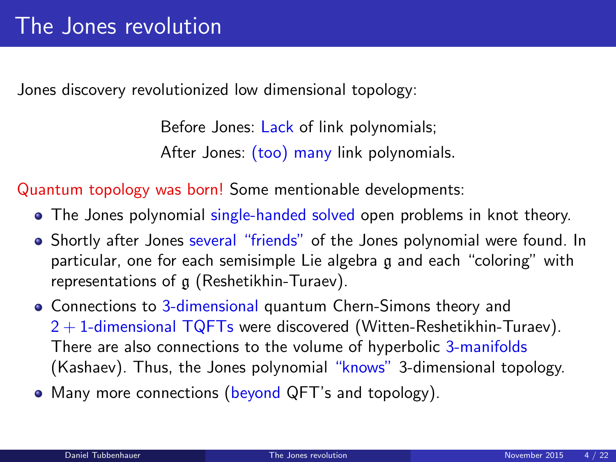Jones discovery revolutionized low dimensional topology:

Before Jones: Lack of link polynomials; After Jones: (too) many link polynomials.

Quantum topology was born! Some mentionable developments:

- The Jones polynomial single-handed solved open problems in knot theory.
- Shortly after Jones several "friends" of the Jones polynomial were found. In particular, one for each semisimple Lie algebra g and each "coloring" with representations of g (Reshetikhin-Turaev).
- Connections to 3-dimensional quantum Chern-Simons theory and  $2 + 1$ -dimensional TQFTs were discovered (Witten-Reshetikhin-Turaev). There are also connections to the volume of hyperbolic 3-manifolds (Kashaev). Thus, the Jones polynomial "knows" 3-dimensional topology.
- Many more connections (beyond QFT's and topology).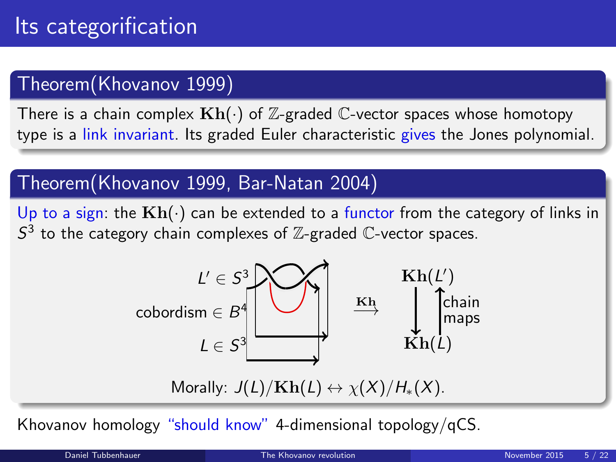### Theorem(Khovanov 1999)

There is a chain complex  $\mathbf{Kh}(\cdot)$  of Z-graded C-vector spaces whose homotopy type is a link invariant. Its graded Euler characteristic gives the Jones polynomial.

### Theorem(Khovanov 1999, Bar-Natan 2004)

Up to a sign: the  $\text{Kh}(\cdot)$  can be extended to a functor from the category of links in  $S<sup>3</sup>$  to the category chain complexes of  $\mathbb{Z}$ -graded  $\mathbb{C}$ -vector spaces.



<span id="page-4-0"></span>Morally:  $J(L)/\mathbf{Kh}(L) \leftrightarrow \chi(X)/H_*(X)$ .

Khovanov homology "should know" 4-dimensional topology/qCS.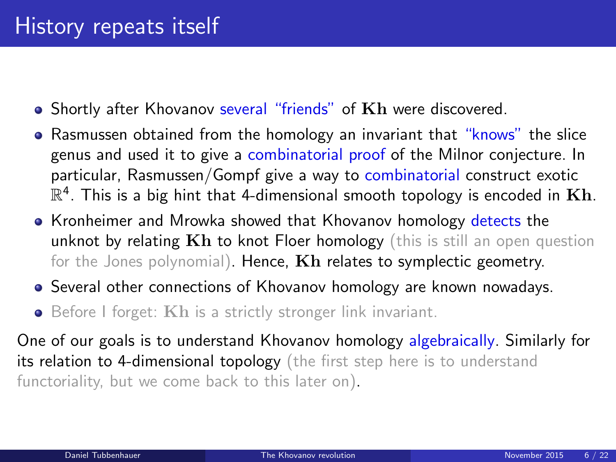- Shortly after Khovanov several "friends" of Kh were discovered.
- Rasmussen obtained from the homology an invariant that "knows" the slice genus and used it to give a combinatorial proof of the Milnor conjecture. In particular, Rasmussen/Gompf give a way to combinatorial construct exotic  $\mathbb{R}^4$ . This is a big hint that 4-dimensional smooth topology is encoded in  $\mathbf{K}\mathbf{h}$ .
- Kronheimer and Mrowka showed that Khovanov homology detects the unknot by relating  $Kh$  to knot Floer homology (this is still an open question for the Jones polynomial). Hence,  $Kh$  relates to symplectic geometry.
- Several other connections of Khovanov homology are known nowadays.
- Before I forget: Kh is a strictly stronger link invariant.

One of our goals is to understand Khovanov homology algebraically. Similarly for its relation to 4-dimensional topology (the first step here is to understand functoriality, but we come back to this later on).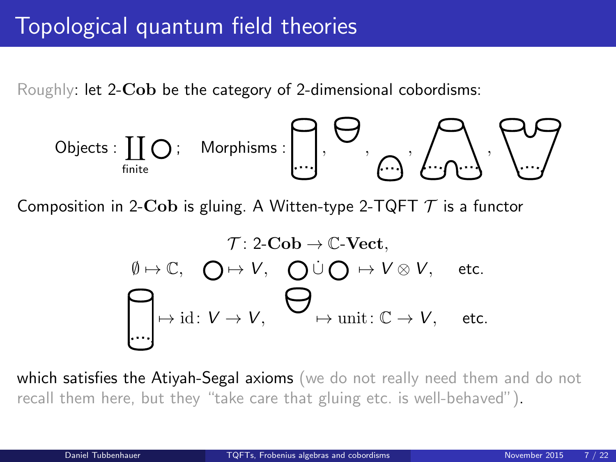# Topological quantum field theories

Roughly: let 2- $Cob$  be the category of 2-dimensional cobordisms:

$$
\mathsf{Objects}:\coprod_{\mathsf{finite}}\bigcirc\colon\quad\mathsf{Morphisms}:\bigcap_{\mathsf{min}}\bigcap_{\mathsf{min}}\bigcap_{\mathsf{min}}\bigcap_{\mathsf{min}}\bigcap_{\mathsf{min}}\bigcap_{\mathsf{min}}\bigcap_{\mathsf{min}}\bigcap_{\mathsf{min}}\bigcap_{\mathsf{min}}\bigcap_{\mathsf{min}}\bigcap_{\mathsf{min}}\bigcap_{\mathsf{min}}\bigcap_{\mathsf{min}}\bigcap_{\mathsf{min}}\bigcap_{\mathsf{min}}\bigcap_{\mathsf{min}}\bigcap_{\mathsf{min}}\bigcap_{\mathsf{min}}\bigcap_{\mathsf{min}}\bigcap_{\mathsf{min}}\bigcap_{\mathsf{min}}\bigcap_{\mathsf{min}}\bigcap_{\mathsf{min}}\bigcap_{\mathsf{min}}\bigcap_{\mathsf{min}}\bigcap_{\mathsf{min}}\bigcap_{\mathsf{min}}\bigcap_{\mathsf{min}}\bigcap_{\mathsf{min}}\bigcap_{\mathsf{min}}\bigcap_{\mathsf{min}}\bigcap_{\mathsf{min}}\bigcap_{\mathsf{min}}\bigcap_{\mathsf{min}}\bigcap_{\mathsf{min}}\bigcap_{\mathsf{min}}\bigcap_{\mathsf{min}}\bigcap_{\mathsf{min}}\bigcap_{\mathsf{min}}\bigcap_{\mathsf{min}}\bigcap_{\mathsf{min}}\bigcap_{\mathsf{min}}\bigcap_{\mathsf{min}}\bigcap_{\mathsf{min}}\bigcap_{\mathsf{min}}\bigcap_{\mathsf{min}}\bigcap_{\mathsf{min}}\bigcap_{\mathsf{min}}\bigcap_{\mathsf{min}}\bigcap_{\mathsf{min}}\bigcap_{\mathsf{min}}\bigcap_{\mathsf{min}}\bigcap_{\mathsf{min}}\bigcap_{\mathsf{min}}\bigcap_{\mathsf{min}}\bigcap_{\mathsf{min}}\bigcap_{\mathsf{min}}\bigcap_{\mathsf{min}}\bigcap_{\mathsf{min}}\bigcap_{\mathsf{min}}\bigcap_{\mathsf{min}}\bigcap_{\mathsf{min}}\bigcap_{\mathsf{min}}\bigcap_{\mathsf{min}}\bigcap_{\mathsf{min}}\bigcap_{\mathsf{min}}\bigcap_{\mathsf{min}}\bigcap_{\mathsf{min}}\bigcap_{\mathsf{min}}\bigcap_{\mathsf{min}}\bigcap_{\mathsf{min}}\bigcap_{\mathsf{min}}\bigcap_{\mathsf{min
$$

Composition in 2-Cob is gluing. A Witten-type 2-TQFT  $\mathcal T$  is a functor

<span id="page-6-0"></span>
$$
\mathcal{T}: 2\text{-}\mathbf{Cob} \to \mathbb{C}\text{-}\mathbf{Vect},
$$

$$
\emptyset \mapsto \mathbb{C}, \quad \bigodot \mapsto V, \quad \bigodot \dot{\cup} \bigodot \mapsto V \otimes V, \quad \text{etc.}
$$

$$
\bigoplus \text{ind}: V \to V, \quad \bigoplus \text{unit}: \mathbb{C} \to V, \quad \text{etc.}
$$

which satisfies the Atiyah-Segal axioms (we do not really need them and do not recall them here, but they "take care that gluing etc. is well-behaved").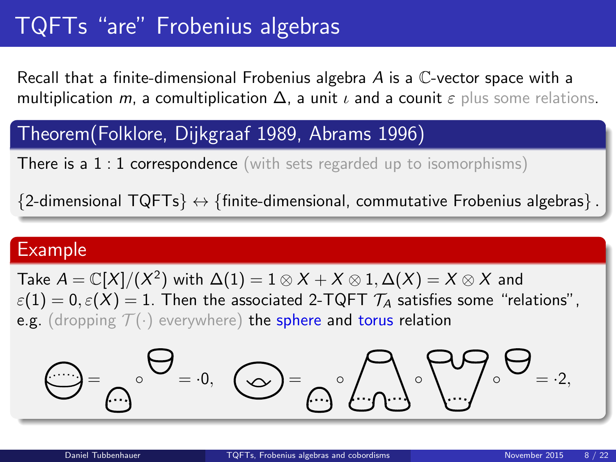# TQFTs "are" Frobenius algebras

Recall that a finite-dimensional Frobenius algebra  $A$  is a  $\mathbb{C}$ -vector space with a multiplication m, a comultiplication  $\Delta$ , a unit  $\iota$  and a counit  $\varepsilon$  plus some relations.

#### Theorem(Folklore, Dijkgraaf 1989, Abrams 1996)

**There is a 1 : 1 correspondence** (with sets regarded up to isomorphisms)

 ${2}$ -dimensional  $TQFTs} \leftrightarrow {finite\text{-}dimensional}$ , commutative Frobenius algebras $}$ .

#### Example

Take  $A = \mathbb{C}[X]/(X^2)$  with  $\Delta(1) = 1 \otimes X + X \otimes 1, \Delta(X) = X \otimes X$  and  $\varepsilon(1) = 0, \varepsilon(X) = 1$ . Then the associated 2-TQFT  $\mathcal{T}_A$  satisfies some "relations", e.g. (dropping  $\mathcal{T}(\cdot)$  everywhere) the sphere and torus relation

$$
\mathbf{Q} = \mathbf{Q} \cdot \mathbf{Q} = \mathbf{0}, \quad \mathbf{Q} = \mathbf{Q} \cdot \mathbf{Q} \cdot \mathbf{Q} \cdot \mathbf{Q} = \mathbf{0} \cdot \mathbf{Q} \cdot \mathbf{Q}
$$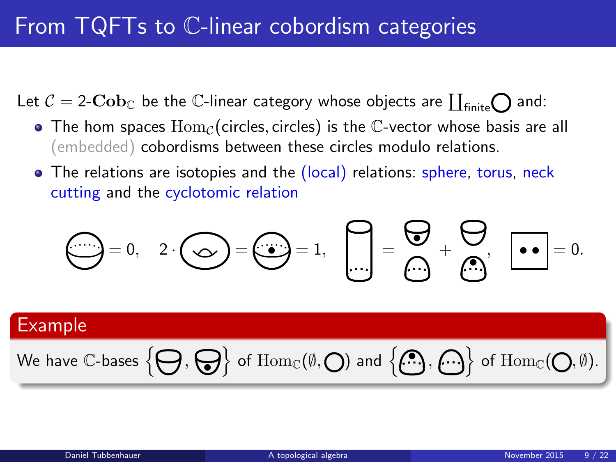# From TQFTs to C-linear cobordism categories

Let  $\mathcal{C} = 2\text{-}\mathbf{Cob}_\mathbb{C}$  be the  $\mathbb{C}\text{-}$ linear category whose objects are  $\coprod_{\text{finite}}\bigodot$  and:

- The hom spaces  $\text{Hom}_{\mathcal{C}}(\text{circles}, \text{circles})$  is the C-vector whose basis are all (embedded) cobordisms between these circles modulo relations.
- The relations are isotopies and the (local) relations: sphere, torus, neck cutting and the cyclotomic relation

<span id="page-8-0"></span>
$$
\bigodot = 0, \quad 2 \cdot \bigodot = \bigodot = 1, \quad \bigodot = \bigodot = \bigodot + \bigodot, \quad \bullet = 0.
$$

#### Example

$$
\text{We have $\mathbb{C}$-bases $\Big\{\bigoplus,\bigoplus\Big\}$ of $\operatorname{Hom}_{\mathbb{C}}(\emptyset,\bigodot)$ and $\Big\{\overset{\bullet}{(\bullet)}\,,\overset{\bullet}{(\bullet)}\Big\}$ of $\operatorname{Hom}_{\mathbb{C}}(\bigodot,\emptyset)$.}
$$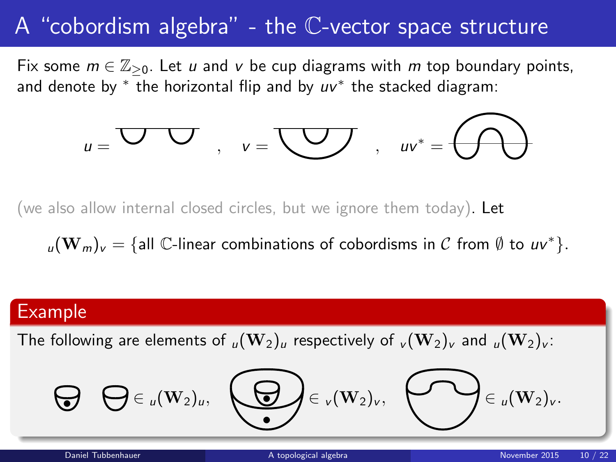### A "cobordism algebra" - the C-vector space structure

Fix some  $m \in \mathbb{Z}_{\geq 0}$ . Let u and v be cup diagrams with m top boundary points, and denote by  $*$  the horizontal flip and by  $uv^*$  the stacked diagram:

$$
u=\overline{\bigcup_{\nu=1}^{\infty}U_{\nu}}\quad,\quad v=\overline{\bigcup_{\nu=1}^{\infty}U_{\nu}}\quad,\quad uv^*=\overline{\bigoplus_{\nu=1}^{\infty}U_{\nu}}.
$$

(we also allow internal closed circles, but we ignore them today). Let

 $\mathbf{u}(\mathbf{W}_m)_{\mathbf{v}} = \{\text{all }\mathbb{C}\text{-linear combinations of cobordisms in }\mathcal{C} \text{ from } \emptyset \text{ to } \mathbf{u}\mathbf{v}^*\}.$ 

#### Example

The following are elements of  $\mu(\mathbf{W}_2)_u$  respectively of  $\mu(\mathbf{W}_2)_v$  and  $\mu(\mathbf{W}_2)_v$ :

$$
\bigoplus \bigoplus \in_{u}(\mathbf{W}_{2})_{u}, \bigoplus \bigoplus \in_{v}(\mathbf{W}_{2})_{v}, \bigoplus \in_{u}(\mathbf{W}_{2})_{v}.
$$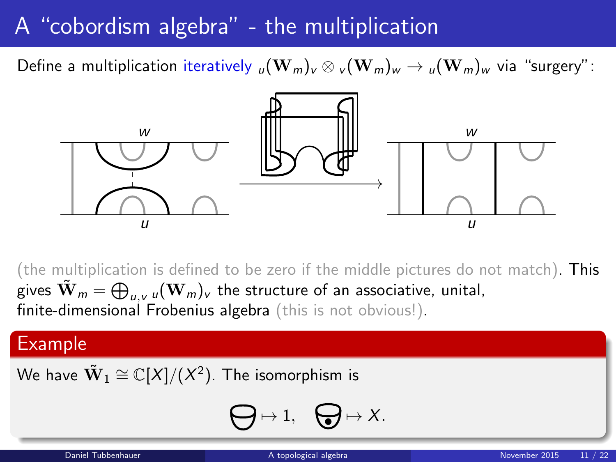### A "cobordism algebra" - the multiplication

Define a multiplication iteratively  $_{u}(\mathbf{W}_{m})_{v} \otimes {}_{v}(\mathbf{W}_{m})_{w} \rightarrow {}_{u}(\mathbf{W}_{m})_{w}$  via "surgery":



(the multiplication is defined to be zero if the middle pictures do not match). This gives  $\tilde{\mathbf{W}}_m = \bigoplus_{u,v} {}_u (\mathbf{W}_m)_v$  the structure of an associative, unital, finite-dimensional Frobenius algebra (this is not obvious!).

#### Example

We have  $\tilde{\mathbf{W}}_1 \cong \mathbb{C}[X]/(X^2).$  The isomorphism is

$$
\bigoplus \mapsto 1, \quad \bigoplus \mapsto X.
$$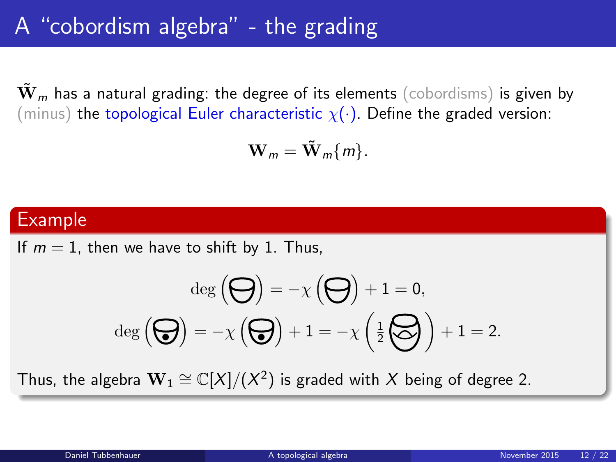# A "cobordism algebra" - the grading

 $\mathbf{W}_m$  has a natural grading: the degree of its elements (cobordisms) is given by (minus) the topological Euler characteristic  $\chi(\cdot)$ . Define the graded version:

$$
\mathbf{W}_m = \tilde{\mathbf{W}}_m \{m\}.
$$

#### Example

If  $m = 1$ , then we have to shift by 1. Thus,

$$
\deg\left(\bigodot\right) = -\chi\left(\bigodot\right) + 1 = 0,
$$

$$
\deg\left(\bigodot\right) = -\chi\left(\bigodot\right) + 1 = -\chi\left(\frac{1}{2}\bigodot\right) + 1 = 2.
$$

Thus, the algebra  $\mathbf{W}_1 \cong \mathbb{C}[X]/(X^2)$  is graded with  $X$  being of degree 2.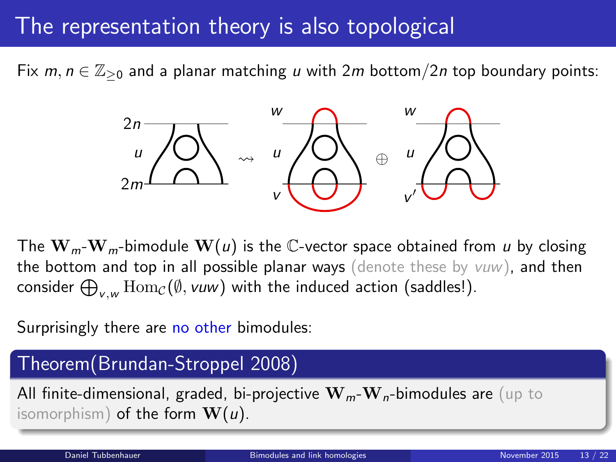### The representation theory is also topological

Fix  $m, n \in \mathbb{Z}_{\geq 0}$  and a planar matching u with  $2m$  bottom/ $2n$  top boundary points:



The  $W_m-W_m$ -bimodule  $W(u)$  is the C-vector space obtained from u by closing the bottom and top in all possible planar ways (denote these by  $vuw$ ), and then consider  $\bigoplus_{\nu,\hspace{0.5pt}w} \operatorname{Hom}\nolimits_{\mathcal{C}}(\emptyset, \nu\hspace{0.5pt}w\hspace{0.5pt})$  with the induced action (saddles!).

Surprisingly there are no other bimodules:

# <span id="page-12-0"></span>Theorem(Brundan-Stroppel 2008) All finite-dimensional, graded, bi-projective  $\mathbf{W}_m$ - $\mathbf{W}_n$ -bimodules are (up to isomorphism) of the form  $W(u)$ .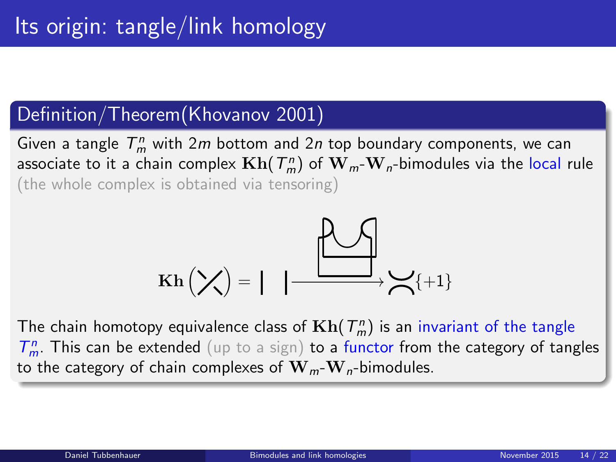#### Definition/Theorem(Khovanov 2001)

Given a tangle  $T_m^n$  with  $2m$  bottom and  $2n$  top boundary components, we can associate to it a chain complex  $\mathbf{Kh}(T_m^n)$  of  $\mathbf{W}_{m}\text{-}\mathbf{W}_{n}\text{-bimodules via the local rule}$ (the whole complex is obtained via tensoring)

$$
\operatorname{Kh}\left(\nearrow\right)=\left|\left|\right|\xrightarrow{\text{R}}\searrow_{\{+1\}}
$$

The chain homotopy equivalence class of  $\mathbf{Kh}(T_m^n)$  is an invariant of the tangle  $T_m^n$ . This can be extended (up to a sign) to a functor from the category of tangles to the category of chain complexes of  $\mathbf{W}_m \cdot \mathbf{W}_n$ -bimodules.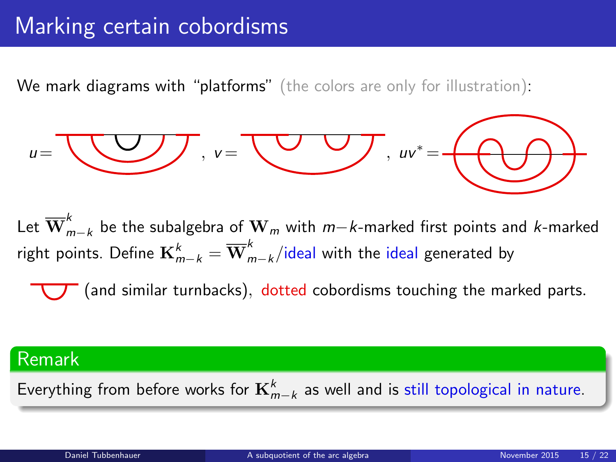### Marking certain cobordisms

We mark diagrams with "platforms" (the colors are only for illustration):

$$
u=\underbrace{\phantom{uu}}_{\rule{15pt}{25pt}}\cdot v=\underbrace{\phantom{uu}}_{\rule{15pt}{25pt}}\cdot uv^*=\underbrace{\phantom{uu}}_{\rule{15pt}{25pt}}\cdot uv^*=\underbrace{\phantom{uu}}_{\rule{15pt}{25pt}}\cdot
$$

Let  $\overline{\mathbf{W}}_{m-k}^{k}$  be the subalgebra of  $\mathbf{W}_{m}$  with  $m-k$ -marked first points and  $k$ -marked right points. Define  $\mathbf{K}_{m-k}^k = \overline{\mathbf{W}}_{m-k}^k/$ ideal with the ideal generated by

<span id="page-14-0"></span>(and similar turnbacks), dotted cobordisms touching the marked parts.

#### Remark

Everything from before works for  ${\bf K}^k_{m-k}$  as well and is still topological in nature.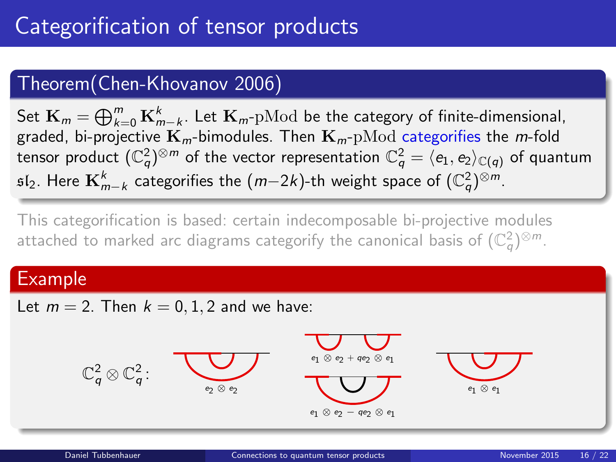### Theorem(Chen-Khovanov 2006)

Set  $\mathbf{K}_m = \bigoplus_{k=0}^m \mathbf{K}_{m-k}^k$ . Let  $\mathbf{K}_m$ -p $\operatorname{Mod}$  be the category of finite-dimensional, graded, bi-projective  $\mathbf{K}_m$ -bimodules. Then  $\mathbf{K}_m$ -pMod categorifies the m-fold tensor product  $(\mathbb{C}_q^2)^{\otimes m}$  of the vector representation  $\mathbb{C}_q^2=\langle e_1,e_2\rangle_{\mathbb{C}(q)}$  of quantum  $\mathfrak{sl}_2$ . Here  $\mathbf{K}^k_{m-k}$  categorifies the  $(m{-}2k)$ -th weight space of  $(\mathbb{C}_q^2)^{\otimes m}.$ 

This categorification is based: certain indecomposable bi-projective modules attached to marked arc diagrams categorify the canonical basis of  $(\mathbb{C}_q^2)^{\otimes m}.$ 

#### Example

Let  $m = 2$ . Then  $k = 0, 1, 2$  and we have:

<span id="page-15-0"></span>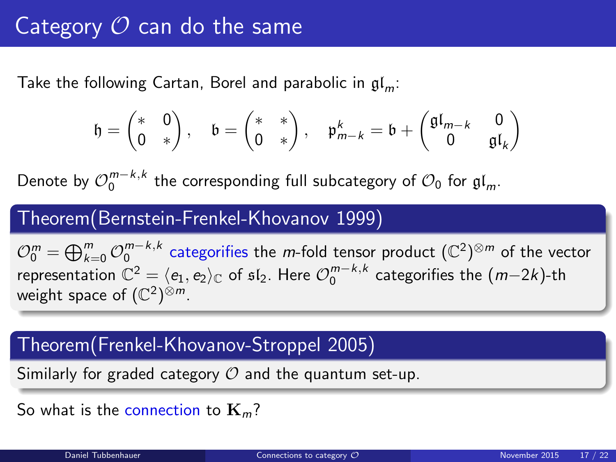# Category  $\mathcal O$  can do the same

Take the following Cartan, Borel and parabolic in  $\mathfrak{gl}_m$ :

$$
\mathfrak{h}=\begin{pmatrix} *&0\\0&*\end{pmatrix},\quad \mathfrak{b}=\begin{pmatrix} *&*\\0&*\end{pmatrix},\quad \mathfrak{p}^k_{m-k}=\mathfrak{b}+\begin{pmatrix}\mathfrak{gl}_{m-k}&0\\0&\mathfrak{gl}_k\end{pmatrix}
$$

Denote by  $\mathcal{O}_0^{m-k,k}$  the corresponding full subcategory of  $\mathcal{O}_0$  for  $\mathfrak{gl}_m$ .

#### Theorem(Bernstein-Frenkel-Khovanov 1999)

 $\mathcal{O}_0^m=\bigoplus_{k=0}^m\mathcal{O}_0^{m-k,k}$  categorifies the  $m$ -fold tensor product  $(\mathbb{C}^2)^{\otimes m}$  of the vector representation  $\mathbb{C}^2 = \langle e_1, e_2 \rangle_{\mathbb{C}}$  of  $\mathfrak{sl}_2$ . Here  $\mathcal{O}_0^{m-k,k}$  categorifies the  $(m{-}2k)$ -th weight space of  $(\mathbb{C}^2)^{\otimes m}$ .

#### Theorem(Frenkel-Khovanov-Stroppel 2005)

Similarly for graded category  $\mathcal O$  and the quantum set-up.

<span id="page-16-0"></span>So what is the connection to  $\mathbf{K}_m$ ?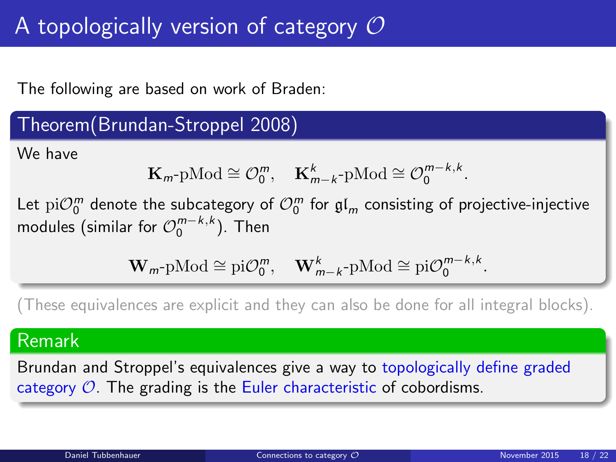# A topologically version of category  $\mathcal O$

The following are based on work of Braden:

#### Theorem(Brundan-Stroppel 2008)

We have

$$
\mathbf{K}_{m}\text{-}\mathrm{pMod} \cong \mathcal{O}_0^m, \quad \mathbf{K}_{m-k}^k\text{-}\mathrm{pMod} \cong \mathcal{O}_0^{m-k,k}.
$$

Let  $\mathrm{pi} \mathcal{O}^{m}_{0}$  denote the subcategory of  $\mathcal{O}^{m}_{0}$  for  $\mathfrak{gl}_m$  consisting of projective-injective modules (similar for  $\mathcal{O}_0^{m-k,k}$ ). Then

$$
\mathbf{W}_{m}\text{-}\mathrm{pMod} \cong \mathrm{pi}\mathcal{O}_0^m, \quad \mathbf{W}_{m-k}^k\text{-}\mathrm{pMod} \cong \mathrm{pi}\mathcal{O}_0^{m-k,k}.
$$

(These equivalences are explicit and they can also be done for all integral blocks).

#### Remark

Brundan and Stroppel's equivalences give a way to topologically define graded category  $\mathcal{O}$ . The grading is the Euler characteristic of cobordisms.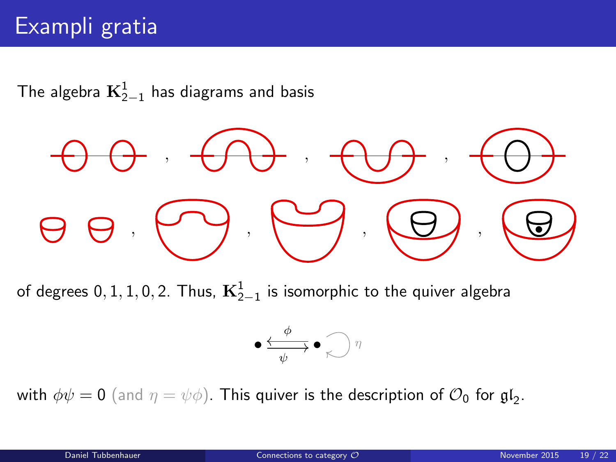# Exampli gratia

The algebra  $\mathbf{K}^{1}_{2-1}$  has diagrams and basis

$$
\Theta \Theta \otimes \Theta \otimes \Theta \otimes \Theta \otimes \Theta
$$

of degrees 0, 1, 1, 0, 2. Thus,  $\textbf{K}_{2-1}^1$  is isomorphic to the quiver algebra

$$
\bullet \xrightarrow[\psi]{\phi} \bullet \bigcirc \eta
$$

with  $\phi\psi=0$  (and  $\eta=\psi\phi)$ . This quiver is the description of  $\mathcal{O}_0$  for  $\mathfrak{gl}_2.$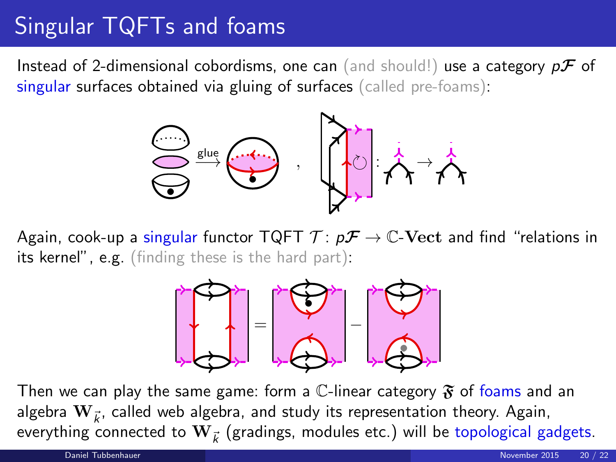# Singular TQFTs and foams

Instead of 2-dimensional cobordisms, one can (and should!) use a category  $p\mathcal{F}$  of singular surfaces obtained via gluing of surfaces (called pre-foams):



Again, cook-up a singular functor TQFT  $\mathcal{T} : p\mathcal{F} \to \mathbb{C}$ -Vect and find "relations in its kernel", e.g. (finding these is the hard part):

<span id="page-19-0"></span>

Then we can play the same game: form a C-linear category  $\mathfrak F$  of foams and an algebra  $\mathbf{W}_{\vec{k}}$ , called web algebra, and study its representation theory. Again, everything connected to  $\mathbf{W}_{\vec{k}}$  (gradings, modules etc.) will be topological gadgets.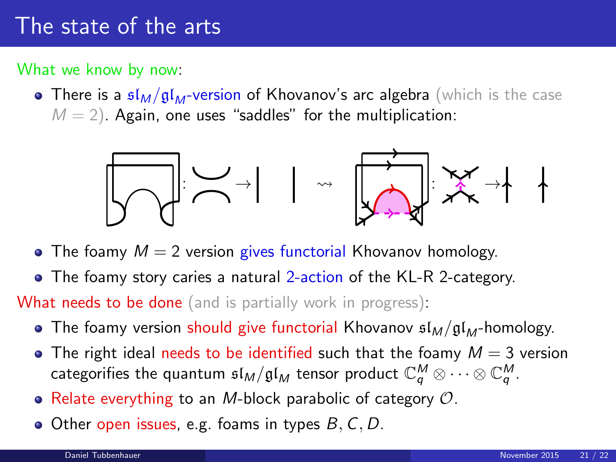### The state of the arts

What we know by now:

• There is a  $\mathfrak{sl}_M/\mathfrak{gl}_M$ -version of Khovanov's arc algebra (which is the case  $M = 2$ ). Again, one uses "saddles" for the multiplication:



- The foamy  $M = 2$  version gives functorial Khovanov homology.
- The foamy story caries a natural 2-action of the KL-R 2-category.

**What needs to be done** (and is partially work in progress):

- The foamy version should give functorial Khovanov  $\mathfrak{sl}_M/\mathfrak{gl}_M$ -homology.
- $\bullet$  The right ideal needs to be identified such that the foamy  $M = 3$  version categorifies the quantum  $\mathfrak{sl}_M/\mathfrak{gl}_M$  tensor product  $\mathbb{C}_q^M\otimes\cdots\otimes\mathbb{C}_q^M$  .
- Relate everything to an M-block parabolic of category  $\mathcal{O}$ .
- $\bullet$  Other open issues, e.g. foams in types  $B, C, D$ .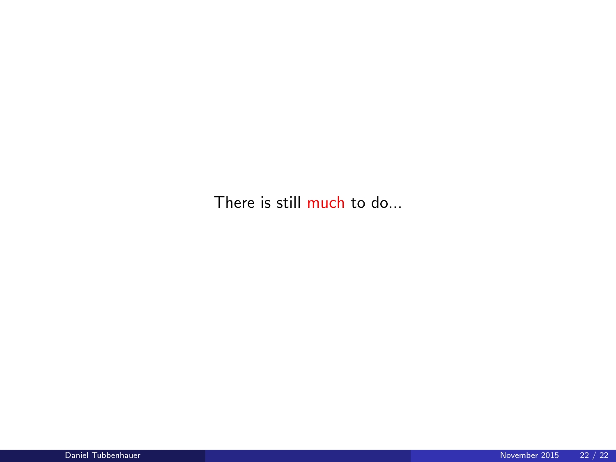There is still much to do...